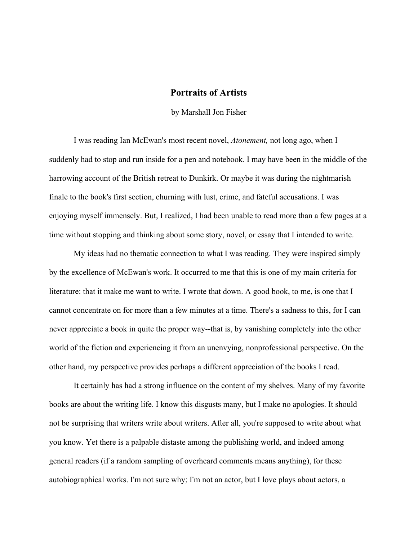## **Portraits of Artists**

by Marshall Jon Fisher

I was reading Ian McEwan's most recent novel, *Atonement,* not long ago, when I suddenly had to stop and run inside for a pen and notebook. I may have been in the middle of the harrowing account of the British retreat to Dunkirk. Or maybe it was during the nightmarish finale to the book's first section, churning with lust, crime, and fateful accusations. I was enjoying myself immensely. But, I realized, I had been unable to read more than a few pages at a time without stopping and thinking about some story, novel, or essay that I intended to write.

My ideas had no thematic connection to what I was reading. They were inspired simply by the excellence of McEwan's work. It occurred to me that this is one of my main criteria for literature: that it make me want to write. I wrote that down. A good book, to me, is one that I cannot concentrate on for more than a few minutes at a time. There's a sadness to this, for I can never appreciate a book in quite the proper way--that is, by vanishing completely into the other world of the fiction and experiencing it from an unenvying, nonprofessional perspective. On the other hand, my perspective provides perhaps a different appreciation of the books I read.

It certainly has had a strong influence on the content of my shelves. Many of my favorite books are about the writing life. I know this disgusts many, but I make no apologies. It should not be surprising that writers write about writers. After all, you're supposed to write about what you know. Yet there is a palpable distaste among the publishing world, and indeed among general readers (if a random sampling of overheard comments means anything), for these autobiographical works. I'm not sure why; I'm not an actor, but I love plays about actors, a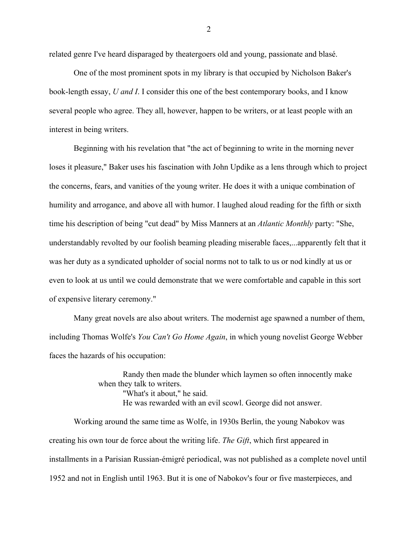related genre I've heard disparaged by theatergoers old and young, passionate and blasé.

One of the most prominent spots in my library is that occupied by Nicholson Baker's book-length essay, *U and I*. I consider this one of the best contemporary books, and I know several people who agree. They all, however, happen to be writers, or at least people with an interest in being writers.

Beginning with his revelation that "the act of beginning to write in the morning never loses it pleasure," Baker uses his fascination with John Updike as a lens through which to project the concerns, fears, and vanities of the young writer. He does it with a unique combination of humility and arrogance, and above all with humor. I laughed aloud reading for the fifth or sixth time his description of being "cut dead" by Miss Manners at an *Atlantic Monthly* party: "She, understandably revolted by our foolish beaming pleading miserable faces,...apparently felt that it was her duty as a syndicated upholder of social norms not to talk to us or nod kindly at us or even to look at us until we could demonstrate that we were comfortable and capable in this sort of expensive literary ceremony."

Many great novels are also about writers. The modernist age spawned a number of them, including Thomas Wolfe's *You Can't Go Home Again*, in which young novelist George Webber faces the hazards of his occupation:

> Randy then made the blunder which laymen so often innocently make when they talk to writers. "What's it about," he said. He was rewarded with an evil scowl. George did not answer.

Working around the same time as Wolfe, in 1930s Berlin, the young Nabokov was creating his own tour de force about the writing life. *The Gift*, which first appeared in installments in a Parisian Russian-émigré periodical, was not published as a complete novel until 1952 and not in English until 1963. But it is one of Nabokov's four or five masterpieces, and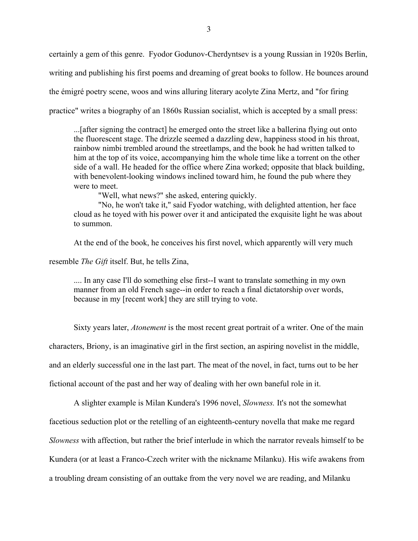certainly a gem of this genre. Fyodor Godunov-Cherdyntsev is a young Russian in 1920s Berlin, writing and publishing his first poems and dreaming of great books to follow. He bounces around the émigré poetry scene, woos and wins alluring literary acolyte Zina Mertz, and "for firing practice" writes a biography of an 1860s Russian socialist, which is accepted by a small press:

...[after signing the contract] he emerged onto the street like a ballerina flying out onto the fluorescent stage. The drizzle seemed a dazzling dew, happiness stood in his throat, rainbow nimbi trembled around the streetlamps, and the book he had written talked to him at the top of its voice, accompanying him the whole time like a torrent on the other side of a wall. He headed for the office where Zina worked; opposite that black building, with benevolent-looking windows inclined toward him, he found the pub where they were to meet.

"Well, what news?" she asked, entering quickly.

"No, he won't take it," said Fyodor watching, with delighted attention, her face cloud as he toyed with his power over it and anticipated the exquisite light he was about to summon.

At the end of the book, he conceives his first novel, which apparently will very much

resemble *The Gift* itself. But, he tells Zina,

.... In any case I'll do something else first--I want to translate something in my own manner from an old French sage--in order to reach a final dictatorship over words, because in my [recent work] they are still trying to vote.

Sixty years later, *Atonement* is the most recent great portrait of a writer. One of the main

characters, Briony, is an imaginative girl in the first section, an aspiring novelist in the middle,

and an elderly successful one in the last part. The meat of the novel, in fact, turns out to be her

fictional account of the past and her way of dealing with her own baneful role in it.

A slighter example is Milan Kundera's 1996 novel, *Slowness.* It's not the somewhat facetious seduction plot or the retelling of an eighteenth-century novella that make me regard *Slowness* with affection, but rather the brief interlude in which the narrator reveals himself to be Kundera (or at least a Franco-Czech writer with the nickname Milanku). His wife awakens from a troubling dream consisting of an outtake from the very novel we are reading, and Milanku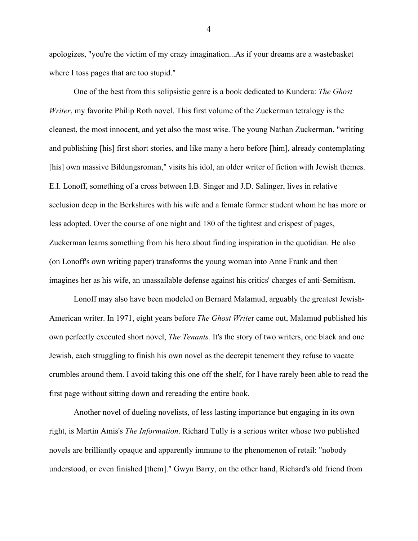apologizes, "you're the victim of my crazy imagination...As if your dreams are a wastebasket where I toss pages that are too stupid."

One of the best from this solipsistic genre is a book dedicated to Kundera: *The Ghost Writer*, my favorite Philip Roth novel. This first volume of the Zuckerman tetralogy is the cleanest, the most innocent, and yet also the most wise. The young Nathan Zuckerman, "writing and publishing [his] first short stories, and like many a hero before [him], already contemplating [his] own massive Bildungsroman," visits his idol, an older writer of fiction with Jewish themes. E.I. Lonoff, something of a cross between I.B. Singer and J.D. Salinger, lives in relative seclusion deep in the Berkshires with his wife and a female former student whom he has more or less adopted. Over the course of one night and 180 of the tightest and crispest of pages, Zuckerman learns something from his hero about finding inspiration in the quotidian. He also (on Lonoff's own writing paper) transforms the young woman into Anne Frank and then imagines her as his wife, an unassailable defense against his critics' charges of anti-Semitism.

Lonoff may also have been modeled on Bernard Malamud, arguably the greatest Jewish-American writer. In 1971, eight years before *The Ghost Write*r came out, Malamud published his own perfectly executed short novel, *The Tenants.* It's the story of two writers, one black and one Jewish, each struggling to finish his own novel as the decrepit tenement they refuse to vacate crumbles around them. I avoid taking this one off the shelf, for I have rarely been able to read the first page without sitting down and rereading the entire book.

Another novel of dueling novelists, of less lasting importance but engaging in its own right, is Martin Amis's *The Information*. Richard Tully is a serious writer whose two published novels are brilliantly opaque and apparently immune to the phenomenon of retail: "nobody understood, or even finished [them]." Gwyn Barry, on the other hand, Richard's old friend from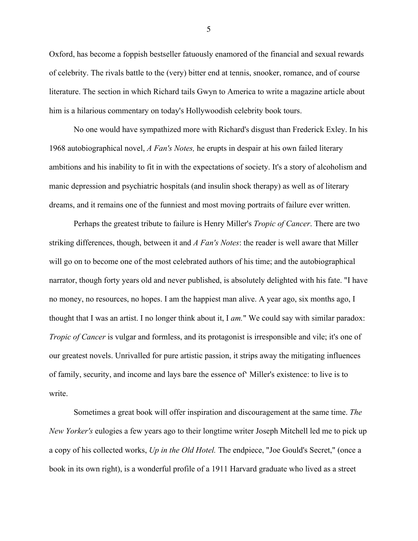Oxford, has become a foppish bestseller fatuously enamored of the financial and sexual rewards of celebrity. The rivals battle to the (very) bitter end at tennis, snooker, romance, and of course literature. The section in which Richard tails Gwyn to America to write a magazine article about him is a hilarious commentary on today's Hollywoodish celebrity book tours.

No one would have sympathized more with Richard's disgust than Frederick Exley. In his 1968 autobiographical novel, *A Fan's Notes,* he erupts in despair at his own failed literary ambitions and his inability to fit in with the expectations of society. It's a story of alcoholism and manic depression and psychiatric hospitals (and insulin shock therapy) as well as of literary dreams, and it remains one of the funniest and most moving portraits of failure ever written.

Perhaps the greatest tribute to failure is Henry Miller's *Tropic of Cancer*. There are two striking differences, though, between it and *A Fan's Notes*: the reader is well aware that Miller will go on to become one of the most celebrated authors of his time; and the autobiographical narrator, though forty years old and never published, is absolutely delighted with his fate. "I have no money, no resources, no hopes. I am the happiest man alive. A year ago, six months ago, I thought that I was an artist. I no longer think about it, I *am.*" We could say with similar paradox: *Tropic of Cancer* is vulgar and formless, and its protagonist is irresponsible and vile; it's one of our greatest novels. Unrivalled for pure artistic passion, it strips away the mitigating influences of family, security, and income and lays bare the essence of' Miller's existence: to live is to write.

Sometimes a great book will offer inspiration and discouragement at the same time. *The New Yorker's* eulogies a few years ago to their longtime writer Joseph Mitchell led me to pick up a copy of his collected works, *Up in the Old Hotel.* The endpiece, "Joe Gould's Secret," (once a book in its own right), is a wonderful profile of a 1911 Harvard graduate who lived as a street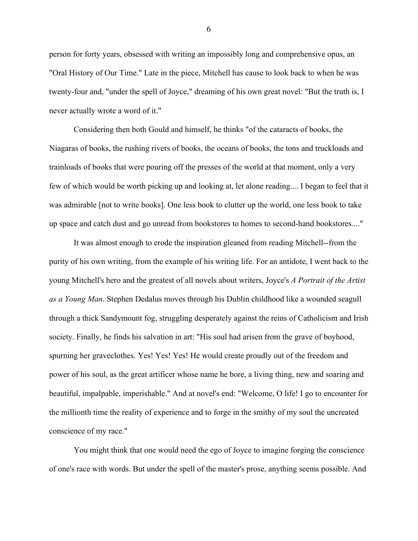person for forty years, obsessed with writing an impossibly long and comprehensive opus, an "Oral History of Our Time." Late in the piece, Mitchell has cause to look back to when he was twenty-four and, "under the spell of Joyce," dreaming of his own great novel: "But the truth is, I never actually wrote a word of it."

Considering then both Gould and himself, he thinks "of the cataracts of books, the Niagaras of books, the rushing rivers of books, the oceans of books, the tons and truckloads and trainloads of books that were pouring off the presses of the world at that moment, only a very few of which would be worth picking up and looking at, let alone reading.... I began to feel that it was admirable [not to write books]. One less book to clutter up the world, one less book to take up space and catch dust and go unread from bookstores to homes to second-hand bookstores...."

It was almost enough to erode the inspiration gleaned from reading Mitchell--from the purity of his own writing, from the example of his writing life. For an antidote, I went back to the young Mitchell's hero and the greatest of all novels about writers, Joyce's *A Portrait of the Artist as a Young Man*. Stephen Dedalus moves through his Dublin childhood like a wounded seagull through a thick Sandymount fog, struggling desperately against the reins of Catholicism and Irish society. Finally, he finds his salvation in art: "His soul had arisen from the grave of boyhood, spurning her graveclothes. Yes! Yes! Yes! He would create proudly out of the freedom and power of his soul, as the great artificer whose name he bore, a living thing, new and soaring and beautiful, impalpable, imperishable." And at novel's end: "Welcome, O life! I go to encounter for the millionth time the reality of experience and to forge in the smithy of my soul the uncreated conscience of my race."

You might think that one would need the ego of Joyce to imagine forging the conscience of one's race with words. But under the spell of the master's prose, anything seems possible. And